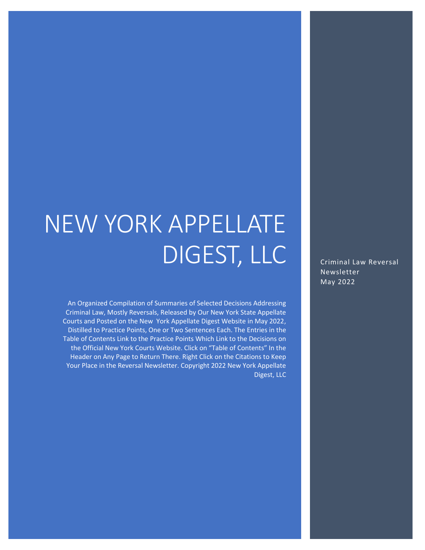# NEW YORK APPELLATE DIGEST, LLC

An Organized Compilation of Summaries of Selected Decisions Addressing Criminal Law, Mostly Reversals, Released by Our New York State Appellate Courts and Posted on the New York Appellate Digest Website in May 2022, Distilled to Practice Points, One or Two Sentences Each. The Entries in the Table of Contents Link to the Practice Points Which Link to the Decisions on the Official New York Courts Website. Click on "Table of Contents" In the Header on Any Page to Return There. Right Click on the Citations to Keep Your Place in the Reversal Newsletter. Copyright 2022 New York Appellate Digest, LLC

Criminal Law Reversal **Newsletter** May 2022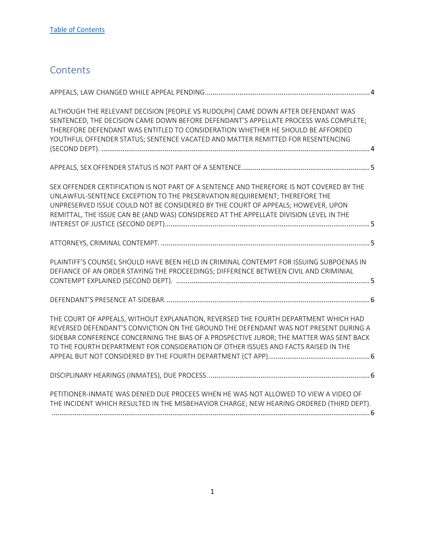## <span id="page-1-0"></span>**Contents**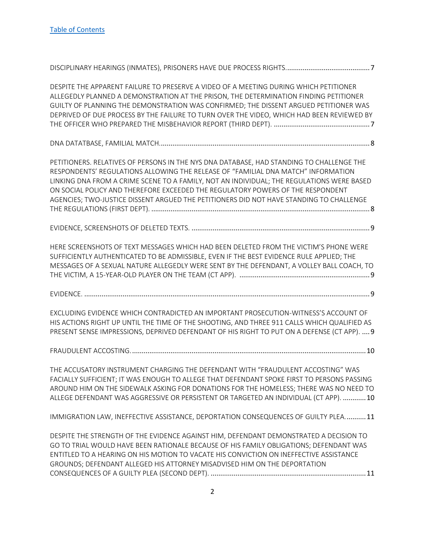| DESPITE THE APPARENT FAILURE TO PRESERVE A VIDEO OF A MEETING DURING WHICH PETITIONER<br>ALLEGEDLY PLANNED A DEMONSTRATION AT THE PRISON, THE DETERMINATION FINDING PETITIONER<br>GUILTY OF PLANNING THE DEMONSTRATION WAS CONFIRMED; THE DISSENT ARGUED PETITIONER WAS<br>DEPRIVED OF DUE PROCESS BY THE FAILURE TO TURN OVER THE VIDEO, WHICH HAD BEEN REVIEWED BY                                                                                     |
|----------------------------------------------------------------------------------------------------------------------------------------------------------------------------------------------------------------------------------------------------------------------------------------------------------------------------------------------------------------------------------------------------------------------------------------------------------|
|                                                                                                                                                                                                                                                                                                                                                                                                                                                          |
| PETITIONERS. RELATIVES OF PERSONS IN THE NYS DNA DATABASE, HAD STANDING TO CHALLENGE THE<br>RESPONDENTS' REGULATIONS ALLOWING THE RELEASE OF "FAMILIAL DNA MATCH" INFORMATION<br>LINKING DNA FROM A CRIME SCENE TO A FAMILY, NOT AN INDIVIDUAL; THE REGULATIONS WERE BASED<br>ON SOCIAL POLICY AND THEREFORE EXCEEDED THE REGULATORY POWERS OF THE RESPONDENT<br>AGENCIES; TWO-JUSTICE DISSENT ARGUED THE PETITIONERS DID NOT HAVE STANDING TO CHALLENGE |
|                                                                                                                                                                                                                                                                                                                                                                                                                                                          |
| HERE SCREENSHOTS OF TEXT MESSAGES WHICH HAD BEEN DELETED FROM THE VICTIM'S PHONE WERE<br>SUFFICIENTLY AUTHENTICATED TO BE ADMISSIBLE, EVEN IF THE BEST EVIDENCE RULE APPLIED; THE<br>MESSAGES OF A SEXUAL NATURE ALLEGEDLY WERE SENT BY THE DEFENDANT, A VOLLEY BALL COACH, TO                                                                                                                                                                           |
|                                                                                                                                                                                                                                                                                                                                                                                                                                                          |
| EXCLUDING EVIDENCE WHICH CONTRADICTED AN IMPORTANT PROSECUTION-WITNESS'S ACCOUNT OF<br>HIS ACTIONS RIGHT UP UNTIL THE TIME OF THE SHOOTING, AND THREE 911 CALLS WHICH QUALIFIED AS<br>PRESENT SENSE IMPRESSIONS, DEPRIVED DEFENDANT OF HIS RIGHT TO PUT ON A DEFENSE (CT APP).  9                                                                                                                                                                        |
|                                                                                                                                                                                                                                                                                                                                                                                                                                                          |
| THE ACCUSATORY INSTRUMENT CHARGING THE DEFENDANT WITH "FRAUDULENT ACCOSTING" WAS<br>FACIALLY SUFFICIENT; IT WAS ENOUGH TO ALLEGE THAT DEFENDANT SPOKE FIRST TO PERSONS PASSING<br>AROUND HIM ON THE SIDEWALK ASKING FOR DONATIONS FOR THE HOMELESS; THERE WAS NO NEED TO<br>ALLEGE DEFENDANT WAS AGGRESSIVE OR PERSISTENT OR TARGETED AN INDIVIDUAL (CT APP).  10                                                                                        |
| IMMIGRATION LAW, INEFFECTIVE ASSISTANCE, DEPORTATION CONSEQUENCES OF GUILTY PLEA 11                                                                                                                                                                                                                                                                                                                                                                      |
| DESPITE THE STRENGTH OF THE EVIDENCE AGAINST HIM, DEFENDANT DEMONSTRATED A DECISION TO<br>GO TO TRIAL WOULD HAVE BEEN RATIONALE BECAUSE OF HIS FAMILY OBLIGATIONS; DEFENDANT WAS<br>ENTITLED TO A HEARING ON HIS MOTION TO VACATE HIS CONVICTION ON INEFFECTIVE ASSISTANCE<br>GROUNDS; DEFENDANT ALLEGED HIS ATTORNEY MISADVISED HIM ON THE DEPORTATION                                                                                                  |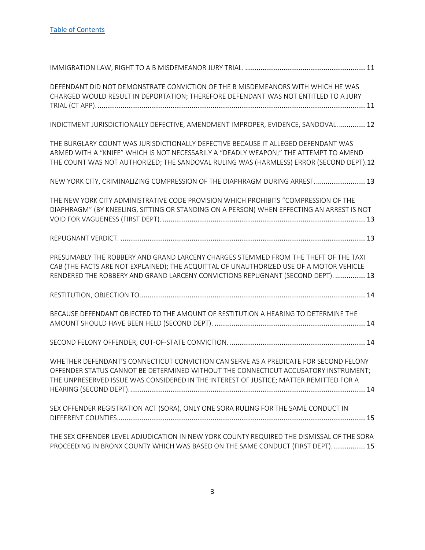| DEFENDANT DID NOT DEMONSTRATE CONVICTION OF THE B MISDEMEANORS WITH WHICH HE WAS<br>CHARGED WOULD RESULT IN DEPORTATION; THEREFORE DEFENDANT WAS NOT ENTITLED TO A JURY                                                                                                |
|------------------------------------------------------------------------------------------------------------------------------------------------------------------------------------------------------------------------------------------------------------------------|
| INDICTMENT JURISDICTIONALLY DEFECTIVE, AMENDMENT IMPROPER, EVIDENCE, SANDOVAL 12                                                                                                                                                                                       |
| THE BURGLARY COUNT WAS JURISDICTIONALLY DEFECTIVE BECAUSE IT ALLEGED DEFENDANT WAS<br>ARMED WITH A "KNIFE" WHICH IS NOT NECESSARILY A "DEADLY WEAPON;" THE ATTEMPT TO AMEND<br>THE COUNT WAS NOT AUTHORIZED; THE SANDOVAL RULING WAS (HARMLESS) ERROR (SECOND DEPT).12 |
| NEW YORK CITY, CRIMINALIZING COMPRESSION OF THE DIAPHRAGM DURING ARREST 13                                                                                                                                                                                             |
| THE NEW YORK CITY ADMINISTRATIVE CODE PROVISION WHICH PROHIBITS "COMPRESSION OF THE<br>DIAPHRAGM" (BY KNEELING, SITTING OR STANDING ON A PERSON) WHEN EFFECTING AN ARREST IS NOT                                                                                       |
|                                                                                                                                                                                                                                                                        |
| PRESUMABLY THE ROBBERY AND GRAND LARCENY CHARGES STEMMED FROM THE THEFT OF THE TAXI<br>CAB (THE FACTS ARE NOT EXPLAINED); THE ACQUITTAL OF UNAUTHORIZED USE OF A MOTOR VEHICLE<br>RENDERED THE ROBBERY AND GRAND LARCENY CONVICTIONS REPUGNANT (SECOND DEPT).  13      |
|                                                                                                                                                                                                                                                                        |
| BECAUSE DEFENDANT OBJECTED TO THE AMOUNT OF RESTITUTION A HEARING TO DETERMINE THE                                                                                                                                                                                     |
|                                                                                                                                                                                                                                                                        |
| WHETHER DEFENDANT'S CONNECTICUT CONVICTION CAN SERVE AS A PREDICATE FOR SECOND FELONY<br>OFFENDER STATUS CANNOT BE DETERMINED WITHOUT THE CONNECTICUT ACCUSATORY INSTRUMENT;<br>THE UNPRESERVED ISSUE WAS CONSIDERED IN THE INTEREST OF JUSTICE; MATTER REMITTED FOR A |
| SEX OFFENDER REGISTRATION ACT (SORA), ONLY ONE SORA RULING FOR THE SAME CONDUCT IN                                                                                                                                                                                     |
| THE SEX OFFENDER LEVEL ADJUDICATION IN NEW YORK COUNTY REQUIRED THE DISMISSAL OF THE SORA<br>PROCEEDING IN BRONX COUNTY WHICH WAS BASED ON THE SAME CONDUCT (FIRST DEPT) 15                                                                                            |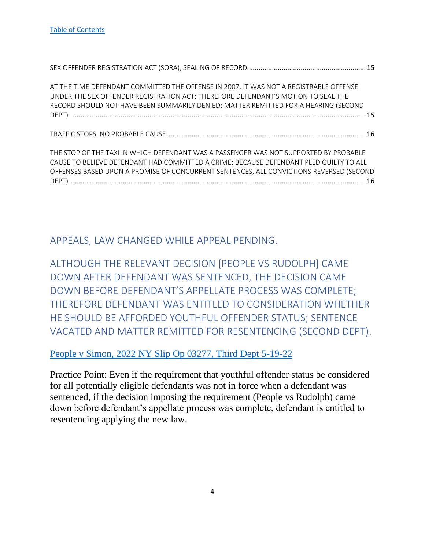| AT THE TIME DEFENDANT COMMITTED THE OFFENSE IN 2007, IT WAS NOT A REGISTRABLE OFFENSE<br>UNDER THE SEX OFFENDER REGISTRATION ACT; THEREFORE DEFENDANT'S MOTION TO SEAL THE<br>RECORD SHOULD NOT HAVE BEEN SUMMARILY DENIED; MATTER REMITTED FOR A HEARING (SECOND |  |
|-------------------------------------------------------------------------------------------------------------------------------------------------------------------------------------------------------------------------------------------------------------------|--|
|                                                                                                                                                                                                                                                                   |  |
|                                                                                                                                                                                                                                                                   |  |

<span id="page-4-0"></span>APPEALS, LAW CHANGED WHILE APPEAL PENDING.

<span id="page-4-1"></span>ALTHOUGH THE RELEVANT DECISION [PEOPLE VS RUDOLPH] CAME DOWN AFTER DEFENDANT WAS SENTENCED, THE DECISION CAME DOWN BEFORE DEFENDANT'S APPELLATE PROCESS WAS COMPLETE; THEREFORE DEFENDANT WAS ENTITLED TO CONSIDERATION WHETHER HE SHOULD BE AFFORDED YOUTHFUL OFFENDER STATUS; SENTENCE VACATED AND MATTER REMITTED FOR RESENTENCING (SECOND DEPT).

#### [People v Simon, 2022 NY Slip Op 03277, Third Dept 5-19-22](https://nycourts.gov/reporter/3dseries/2022/2022_03277.htm)

Practice Point: Even if the requirement that youthful offender status be considered for all potentially eligible defendants was not in force when a defendant was sentenced, if the decision imposing the requirement (People vs Rudolph) came down before defendant's appellate process was complete, defendant is entitled to resentencing applying the new law.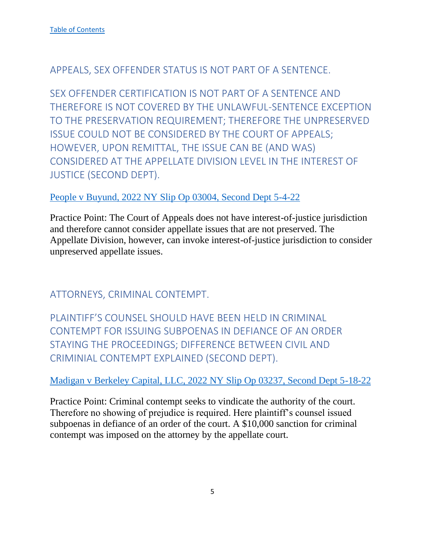## <span id="page-5-0"></span>APPEALS, SEX OFFENDER STATUS IS NOT PART OF A SENTENCE.

<span id="page-5-1"></span>SEX OFFENDER CERTIFICATION IS NOT PART OF A SENTENCE AND THEREFORE IS NOT COVERED BY THE UNLAWFUL-SENTENCE EXCEPTION TO THE PRESERVATION REQUIREMENT; THEREFORE THE UNPRESERVED ISSUE COULD NOT BE CONSIDERED BY THE COURT OF APPEALS; HOWEVER, UPON REMITTAL, THE ISSUE CAN BE (AND WAS) CONSIDERED AT THE APPELLATE DIVISION LEVEL IN THE INTEREST OF JUSTICE (SECOND DEPT).

## [People v Buyund, 2022 NY Slip Op 03004, Second Dept 5-4-22](https://nycourts.gov/reporter/3dseries/2022/2022_03004.htm)

Practice Point: The Court of Appeals does not have interest-of-justice jurisdiction and therefore cannot consider appellate issues that are not preserved. The Appellate Division, however, can invoke interest-of-justice jurisdiction to consider unpreserved appellate issues.

<span id="page-5-2"></span>ATTORNEYS, CRIMINAL CONTEMPT.

<span id="page-5-3"></span>PLAINTIFF'S COUNSEL SHOULD HAVE BEEN HELD IN CRIMINAL CONTEMPT FOR ISSUING SUBPOENAS IN DEFIANCE OF AN ORDER STAYING THE PROCEEDINGS; DIFFERENCE BETWEEN CIVIL AND CRIMINIAL CONTEMPT EXPLAINED (SECOND DEPT).

## [Madigan v Berkeley Capital, LLC, 2022 NY Slip Op 03237, Second Dept 5-18-22](https://nycourts.gov/reporter/3dseries/2022/2022_03237.htm)

Practice Point: Criminal contempt seeks to vindicate the authority of the court. Therefore no showing of prejudice is required. Here plaintiff's counsel issued subpoenas in defiance of an order of the court. A \$10,000 sanction for criminal contempt was imposed on the attorney by the appellate court.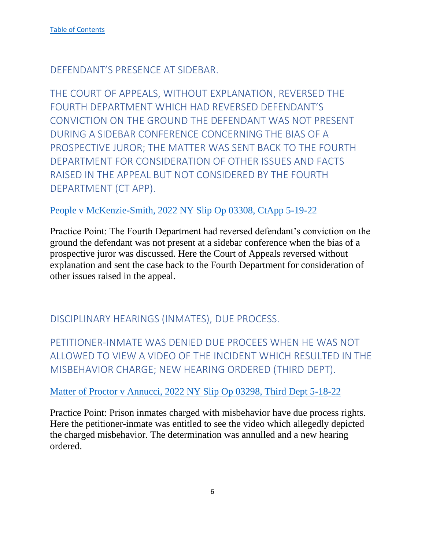<span id="page-6-0"></span>DEFENDANT'S PRESENCE AT SIDEBAR.

<span id="page-6-1"></span>THE COURT OF APPEALS, WITHOUT EXPLANATION, REVERSED THE FOURTH DEPARTMENT WHICH HAD REVERSED DEFENDANT'S CONVICTION ON THE GROUND THE DEFENDANT WAS NOT PRESENT DURING A SIDEBAR CONFERENCE CONCERNING THE BIAS OF A PROSPECTIVE JUROR; THE MATTER WAS SENT BACK TO THE FOURTH DEPARTMENT FOR CONSIDERATION OF OTHER ISSUES AND FACTS RAISED IN THE APPEAL BUT NOT CONSIDERED BY THE FOURTH DEPARTMENT (CT APP).

[People v McKenzie-Smith, 2022 NY Slip Op 03308, CtApp 5-19-22](https://www.nycourts.gov/reporter/3dseries/2022/2022_03308.htm)

Practice Point: The Fourth Department had reversed defendant's conviction on the ground the defendant was not present at a sidebar conference when the bias of a prospective juror was discussed. Here the Court of Appeals reversed without explanation and sent the case back to the Fourth Department for consideration of other issues raised in the appeal.

<span id="page-6-2"></span>DISCIPLINARY HEARINGS (INMATES), DUE PROCESS.

<span id="page-6-3"></span>PETITIONER-INMATE WAS DENIED DUE PROCEES WHEN HE WAS NOT ALLOWED TO VIEW A VIDEO OF THE INCIDENT WHICH RESULTED IN THE MISBEHAVIOR CHARGE; NEW HEARING ORDERED (THIRD DEPT).

[Matter of Proctor v Annucci, 2022 NY Slip Op 03298, Third Dept 5-18-22](https://nycourts.gov/reporter/3dseries/2022/2022_03298.htm)

Practice Point: Prison inmates charged with misbehavior have due process rights. Here the petitioner-inmate was entitled to see the video which allegedly depicted the charged misbehavior. The determination was annulled and a new hearing ordered.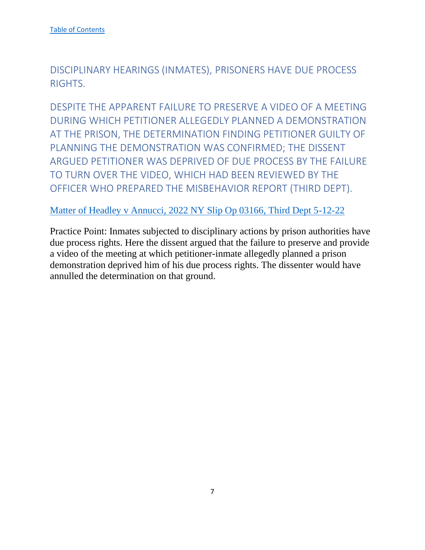<span id="page-7-0"></span>DISCIPLINARY HEARINGS (INMATES), PRISONERS HAVE DUE PROCESS RIGHTS.

<span id="page-7-1"></span>DESPITE THE APPARENT FAILURE TO PRESERVE A VIDEO OF A MEETING DURING WHICH PETITIONER ALLEGEDLY PLANNED A DEMONSTRATION AT THE PRISON, THE DETERMINATION FINDING PETITIONER GUILTY OF PLANNING THE DEMONSTRATION WAS CONFIRMED; THE DISSENT ARGUED PETITIONER WAS DEPRIVED OF DUE PROCESS BY THE FAILURE TO TURN OVER THE VIDEO, WHICH HAD BEEN REVIEWED BY THE OFFICER WHO PREPARED THE MISBEHAVIOR REPORT (THIRD DEPT).

[Matter of Headley v Annucci, 2022 NY Slip Op 03166, Third Dept 5-12-22](https://nycourts.gov/reporter/3dseries/2022/2022_03166.htm)

Practice Point: Inmates subjected to disciplinary actions by prison authorities have due process rights. Here the dissent argued that the failure to preserve and provide a video of the meeting at which petitioner-inmate allegedly planned a prison demonstration deprived him of his due process rights. The dissenter would have annulled the determination on that ground.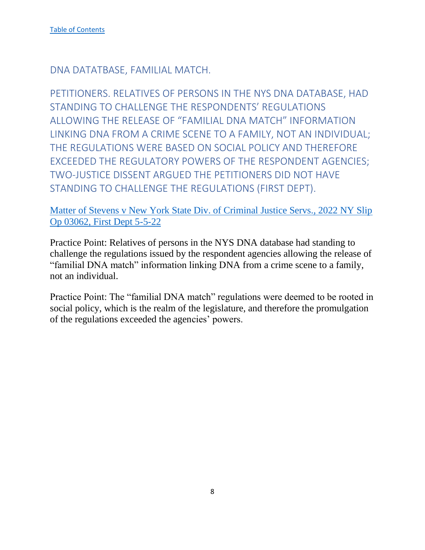<span id="page-8-0"></span>DNA DATATBASE, FAMILIAL MATCH.

<span id="page-8-1"></span>PETITIONERS. RELATIVES OF PERSONS IN THE NYS DNA DATABASE, HAD STANDING TO CHALLENGE THE RESPONDENTS' REGULATIONS ALLOWING THE RELEASE OF "FAMILIAL DNA MATCH" INFORMATION LINKING DNA FROM A CRIME SCENE TO A FAMILY, NOT AN INDIVIDUAL; THE REGULATIONS WERE BASED ON SOCIAL POLICY AND THEREFORE EXCEEDED THE REGULATORY POWERS OF THE RESPONDENT AGENCIES; TWO-JUSTICE DISSENT ARGUED THE PETITIONERS DID NOT HAVE STANDING TO CHALLENGE THE REGULATIONS (FIRST DEPT).

### [Matter of Stevens v New York State Div. of Criminal Justice Servs., 2022 NY Slip](https://nycourts.gov/reporter/3dseries/2022/2022_03062.htm)  [Op 03062, First Dept 5-5-22](https://nycourts.gov/reporter/3dseries/2022/2022_03062.htm)

Practice Point: Relatives of persons in the NYS DNA database had standing to challenge the regulations issued by the respondent agencies allowing the release of "familial DNA match" information linking DNA from a crime scene to a family, not an individual.

Practice Point: The "familial DNA match" regulations were deemed to be rooted in social policy, which is the realm of the legislature, and therefore the promulgation of the regulations exceeded the agencies' powers.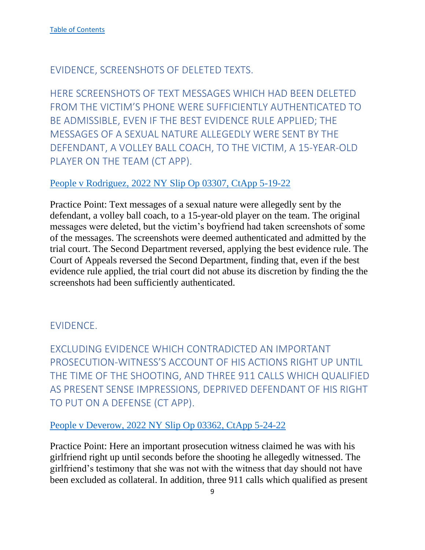## <span id="page-9-0"></span>EVIDENCE, SCREENSHOTS OF DELETED TEXTS.

<span id="page-9-1"></span>HERE SCREENSHOTS OF TEXT MESSAGES WHICH HAD BEEN DELETED FROM THE VICTIM'S PHONE WERE SUFFICIENTLY AUTHENTICATED TO BE ADMISSIBLE, EVEN IF THE BEST EVIDENCE RULE APPLIED; THE MESSAGES OF A SEXUAL NATURE ALLEGEDLY WERE SENT BY THE DEFENDANT, A VOLLEY BALL COACH, TO THE VICTIM, A 15-YEAR-OLD PLAYER ON THE TEAM (CT APP).

### [People v Rodriguez, 2022 NY Slip Op 03307, CtApp 5-19-22](https://www.nycourts.gov/reporter/3dseries/2022/2022_03307.htm)

Practice Point: Text messages of a sexual nature were allegedly sent by the defendant, a volley ball coach, to a 15-year-old player on the team. The original messages were deleted, but the victim's boyfriend had taken screenshots of some of the messages. The screenshots were deemed authenticated and admitted by the trial court. The Second Department reversed, applying the best evidence rule. The Court of Appeals reversed the Second Department, finding that, even if the best evidence rule applied, the trial court did not abuse its discretion by finding the the screenshots had been sufficiently authenticated.

## <span id="page-9-2"></span>EVIDENCE.

<span id="page-9-3"></span>EXCLUDING EVIDENCE WHICH CONTRADICTED AN IMPORTANT PROSECUTION-WITNESS'S ACCOUNT OF HIS ACTIONS RIGHT UP UNTIL THE TIME OF THE SHOOTING, AND THREE 911 CALLS WHICH QUALIFIED AS PRESENT SENSE IMPRESSIONS, DEPRIVED DEFENDANT OF HIS RIGHT TO PUT ON A DEFENSE (CT APP).

#### [People v Deverow, 2022 NY Slip Op 03362, CtApp 5-24-22](https://www.nycourts.gov/reporter/3dseries/2022/2022_03362.htm)

Practice Point: Here an important prosecution witness claimed he was with his girlfriend right up until seconds before the shooting he allegedly witnessed. The girlfriend's testimony that she was not with the witness that day should not have been excluded as collateral. In addition, three 911 calls which qualified as present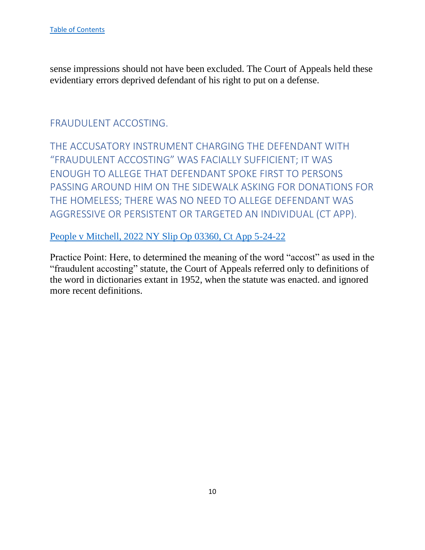sense impressions should not have been excluded. The Court of Appeals held these evidentiary errors deprived defendant of his right to put on a defense.

## <span id="page-10-0"></span>FRAUDULENT ACCOSTING.

<span id="page-10-1"></span>THE ACCUSATORY INSTRUMENT CHARGING THE DEFENDANT WITH "FRAUDULENT ACCOSTING" WAS FACIALLY SUFFICIENT; IT WAS ENOUGH TO ALLEGE THAT DEFENDANT SPOKE FIRST TO PERSONS PASSING AROUND HIM ON THE SIDEWALK ASKING FOR DONATIONS FOR THE HOMELESS; THERE WAS NO NEED TO ALLEGE DEFENDANT WAS AGGRESSIVE OR PERSISTENT OR TARGETED AN INDIVIDUAL (CT APP).

### [People v Mitchell, 2022 NY Slip Op 03360, Ct App 5-24-22](https://www.nycourts.gov/reporter/3dseries/2022/2022_03360.htm)

Practice Point: Here, to determined the meaning of the word "accost" as used in the "fraudulent accosting" statute, the Court of Appeals referred only to definitions of the word in dictionaries extant in 1952, when the statute was enacted. and ignored more recent definitions.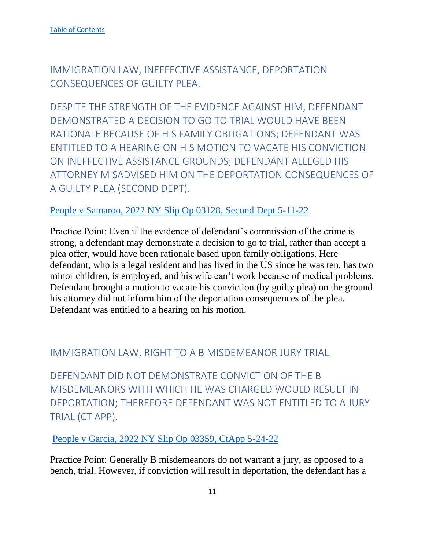<span id="page-11-0"></span>IMMIGRATION LAW, INEFFECTIVE ASSISTANCE, DEPORTATION CONSEQUENCES OF GUILTY PLEA.

<span id="page-11-1"></span>DESPITE THE STRENGTH OF THE EVIDENCE AGAINST HIM, DEFENDANT DEMONSTRATED A DECISION TO GO TO TRIAL WOULD HAVE BEEN RATIONALE BECAUSE OF HIS FAMILY OBLIGATIONS; DEFENDANT WAS FNTITI FD TO A HEARING ON HIS MOTION TO VACATE HIS CONVICTION ON INEFFECTIVE ASSISTANCE GROUNDS; DEFENDANT ALLEGED HIS ATTORNEY MISADVISED HIM ON THE DEPORTATION CONSEQUENCES OF A GUILTY PLEA (SECOND DEPT).

### [People v Samaroo, 2022 NY Slip Op 03128, Second Dept 5-11-22](https://nycourts.gov/reporter/3dseries/2022/2022_03128.htm)

Practice Point: Even if the evidence of defendant's commission of the crime is strong, a defendant may demonstrate a decision to go to trial, rather than accept a plea offer, would have been rationale based upon family obligations. Here defendant, who is a legal resident and has lived in the US since he was ten, has two minor children, is employed, and his wife can't work because of medical problems. Defendant brought a motion to vacate his conviction (by guilty plea) on the ground his attorney did not inform him of the deportation consequences of the plea. Defendant was entitled to a hearing on his motion.

## <span id="page-11-2"></span>IMMIGRATION LAW, RIGHT TO A B MISDEMEANOR JURY TRIAL.

<span id="page-11-3"></span>DEFENDANT DID NOT DEMONSTRATE CONVICTION OF THE B MISDEMEANORS WITH WHICH HE WAS CHARGED WOULD RESULT IN DEPORTATION; THEREFORE DEFENDANT WAS NOT ENTITLED TO A JURY TRIAL (CT APP).

[People v Garcia, 2022 NY Slip Op 03359, CtApp 5-24-22](https://www.nycourts.gov/reporter/3dseries/2022/2022_03359.htm)

Practice Point: Generally B misdemeanors do not warrant a jury, as opposed to a bench, trial. However, if conviction will result in deportation, the defendant has a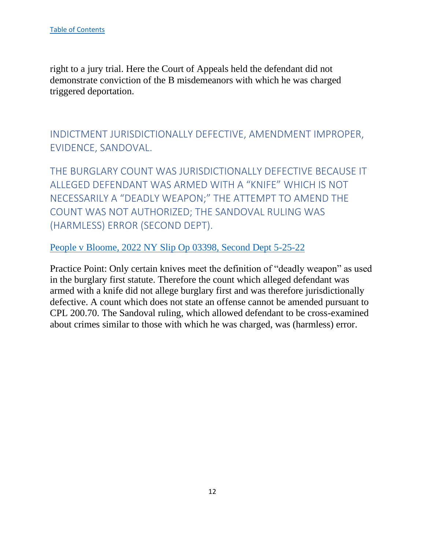right to a jury trial. Here the Court of Appeals held the defendant did not demonstrate conviction of the B misdemeanors with which he was charged triggered deportation.

<span id="page-12-0"></span>INDICTMENT JURISDICTIONALLY DEFECTIVE, AMENDMENT IMPROPER, EVIDENCE, SANDOVAL.

<span id="page-12-1"></span>THE BURGLARY COUNT WAS JURISDICTIONALLY DEFECTIVE BECAUSE IT ALLEGED DEFENDANT WAS ARMED WITH A "KNIFE" WHICH IS NOT NECESSARILY A "DEADLY WEAPON;" THE ATTEMPT TO AMEND THE COUNT WAS NOT AUTHORIZED; THE SANDOVAL RULING WAS (HARMLESS) ERROR (SECOND DEPT).

[People v Bloome, 2022 NY Slip Op 03398, Second Dept 5-25-22](https://nycourts.gov/reporter/3dseries/2022/2022_03398.htm)

Practice Point: Only certain knives meet the definition of "deadly weapon" as used in the burglary first statute. Therefore the count which alleged defendant was armed with a knife did not allege burglary first and was therefore jurisdictionally defective. A count which does not state an offense cannot be amended pursuant to CPL 200.70. The Sandoval ruling, which allowed defendant to be cross-examined about crimes similar to those with which he was charged, was (harmless) error.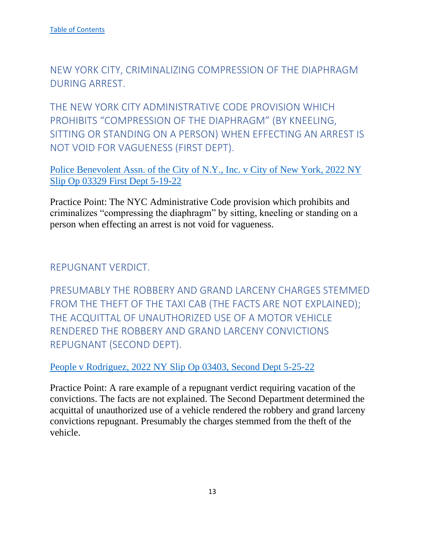<span id="page-13-0"></span>NEW YORK CITY, CRIMINALIZING COMPRESSION OF THE DIAPHRAGM DURING ARREST.

<span id="page-13-1"></span>THE NEW YORK CITY ADMINISTRATIVE CODE PROVISION WHICH PROHIBITS "COMPRESSION OF THE DIAPHRAGM" (BY KNEELING, SITTING OR STANDING ON A PERSON) WHEN EFFECTING AN ARREST IS NOT VOID FOR VAGUENESS (FIRST DEPT).

[Police Benevolent Assn. of the City of N.Y., Inc. v City of New York, 2022 NY](https://nycourts.gov/reporter/3dseries/2022/2022_03329.htm)  [Slip Op 03329 First Dept 5-19-22](https://nycourts.gov/reporter/3dseries/2022/2022_03329.htm)

Practice Point: The NYC Administrative Code provision which prohibits and criminalizes "compressing the diaphragm" by sitting, kneeling or standing on a person when effecting an arrest is not void for vagueness.

<span id="page-13-2"></span>REPUGNANT VERDICT.

<span id="page-13-3"></span>PRESUMABLY THE ROBBERY AND GRAND LARCENY CHARGES STEMMED FROM THE THEFT OF THE TAXI CAB (THE FACTS ARE NOT EXPLAINED); THE ACQUITTAL OF UNAUTHORIZED USE OF A MOTOR VEHICLE RENDERED THE ROBBERY AND GRAND LARCENY CONVICTIONS REPUGNANT (SECOND DEPT).

[People v Rodriguez, 2022 NY Slip Op 03403, Second Dept 5-25-22](https://nycourts.gov/reporter/3dseries/2022/2022_03403.htm)

Practice Point: A rare example of a repugnant verdict requiring vacation of the convictions. The facts are not explained. The Second Department determined the acquittal of unauthorized use of a vehicle rendered the robbery and grand larceny convictions repugnant. Presumably the charges stemmed from the theft of the vehicle.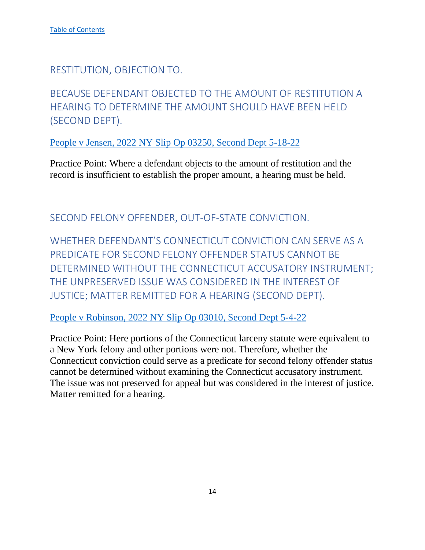<span id="page-14-0"></span>RESTITUTION, OBJECTION TO.

<span id="page-14-1"></span>BECAUSE DEFENDANT OBJECTED TO THE AMOUNT OF RESTITUTION A HEARING TO DETERMINE THE AMOUNT SHOULD HAVE BEEN HELD (SECOND DEPT).

People v Jensen, 2022 NY Slip Op 03250, Second Dept 5-18-22

Practice Point: Where a defendant objects to the amount of restitution and the record is insufficient to establish the proper amount, a hearing must be held.

<span id="page-14-2"></span>SECOND FELONY OFFENDER, OUT-OF-STATE CONVICTION.

<span id="page-14-3"></span>WHETHER DEFENDANT'S CONNECTICUT CONVICTION CAN SERVE AS A PREDICATE FOR SECOND FELONY OFFENDER STATUS CANNOT BE DETERMINED WITHOUT THE CONNECTICUT ACCUSATORY INSTRUMENT; THE UNPRESERVED ISSUE WAS CONSIDERED IN THE INTEREST OF JUSTICE; MATTER REMITTED FOR A HEARING (SECOND DEPT).

People v Robinson, 2022 NY Slip Op 03010, Second Dept 5-4-22

Practice Point: Here portions of the Connecticut larceny statute were equivalent to a New York felony and other portions were not. Therefore, whether the Connecticut conviction could serve as a predicate for second felony offender status cannot be determined without examining the Connecticut accusatory instrument. The issue was not preserved for appeal but was considered in the interest of justice. Matter remitted for a hearing.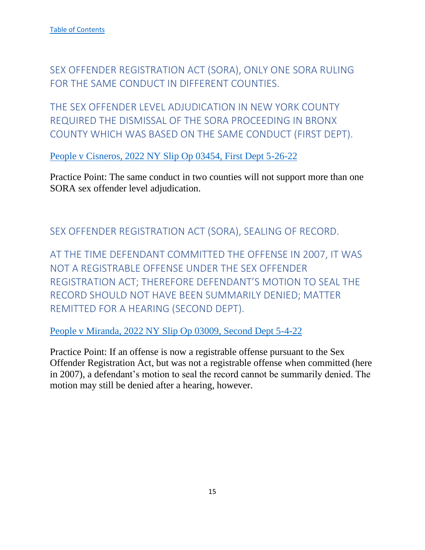<span id="page-15-0"></span>SEX OFFENDER REGISTRATION ACT (SORA), ONLY ONE SORA RULING FOR THE SAME CONDUCT IN DIFFERENT COUNTIES.

<span id="page-15-1"></span>THE SEX OFFENDER LEVEL ADJUDICATION IN NEW YORK COUNTY REQUIRED THE DISMISSAL OF THE SORA PROCEEDING IN BRONX COUNTY WHICH WAS BASED ON THE SAME CONDUCT (FIRST DEPT).

People v Cisneros, 2022 NY Slip Op 03454, First Dept 5-26-22

Practice Point: The same conduct in two counties will not support more than one SORA sex offender level adjudication.

<span id="page-15-2"></span>SEX OFFENDER REGISTRATION ACT (SORA), SEALING OF RECORD.

<span id="page-15-3"></span>AT THE TIME DEFENDANT COMMITTED THE OFFENSE IN 2007, IT WAS NOT A REGISTRABLE OFFENSE UNDER THE SEX OFFENDER REGISTRATION ACT; THEREFORE DEFENDANT'S MOTION TO SEAL THE RECORD SHOULD NOT HAVE BEEN SUMMARILY DENIED; MATTER REMITTED FOR A HEARING (SECOND DEPT).

People v Miranda, 2022 NY Slip Op 03009, Second Dept 5-4-22

Practice Point: If an offense is now a registrable offense pursuant to the Sex Offender Registration Act, but was not a registrable offense when committed (here in 2007), a defendant's motion to seal the record cannot be summarily denied. The motion may still be denied after a hearing, however.